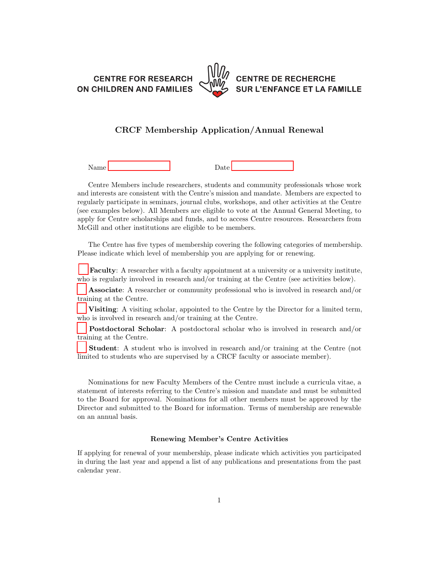**CENTRE FOR RESEARCH** ON CHILDREN AND FAMILIES



## **CENTRE DE RECHERCHE SUR L'ENFANCE ET LA FAMILLE**

## CRCF Membership Application/Annual Renewal

Name Date

Centre Members include researchers, students and community professionals whose work and interests are consistent with the Centre's mission and mandate. Members are expected to regularly participate in seminars, journal clubs, workshops, and other activities at the Centre (see examples below). All Members are eligible to vote at the Annual General Meeting, to apply for Centre scholarships and funds, and to access Centre resources. Researchers from McGill and other institutions are eligible to be members.

The Centre has five types of membership covering the following categories of membership. Please indicate which level of membership you are applying for or renewing.

Faculty: A researcher with a faculty appointment at a university or a university institute, who is regularly involved in research and/or training at the Centre (see activities below).

Associate: A researcher or community professional who is involved in research and/or training at the Centre.

Visiting: A visiting scholar, appointed to the Centre by the Director for a limited term, who is involved in research and/or training at the Centre.

Postdoctoral Scholar: A postdoctoral scholar who is involved in research and/or training at the Centre.

Student: A student who is involved in research and/or training at the Centre (not limited to students who are supervised by a CRCF faculty or associate member).

Nominations for new Faculty Members of the Centre must include a curricula vitae, a statement of interests referring to the Centre's mission and mandate and must be submitted to the Board for approval. Nominations for all other members must be approved by the Director and submitted to the Board for information. Terms of membership are renewable on an annual basis.

## Renewing Member's Centre Activities

If applying for renewal of your membership, please indicate which activities you participated in during the last year and append a list of any publications and presentations from the past calendar year.